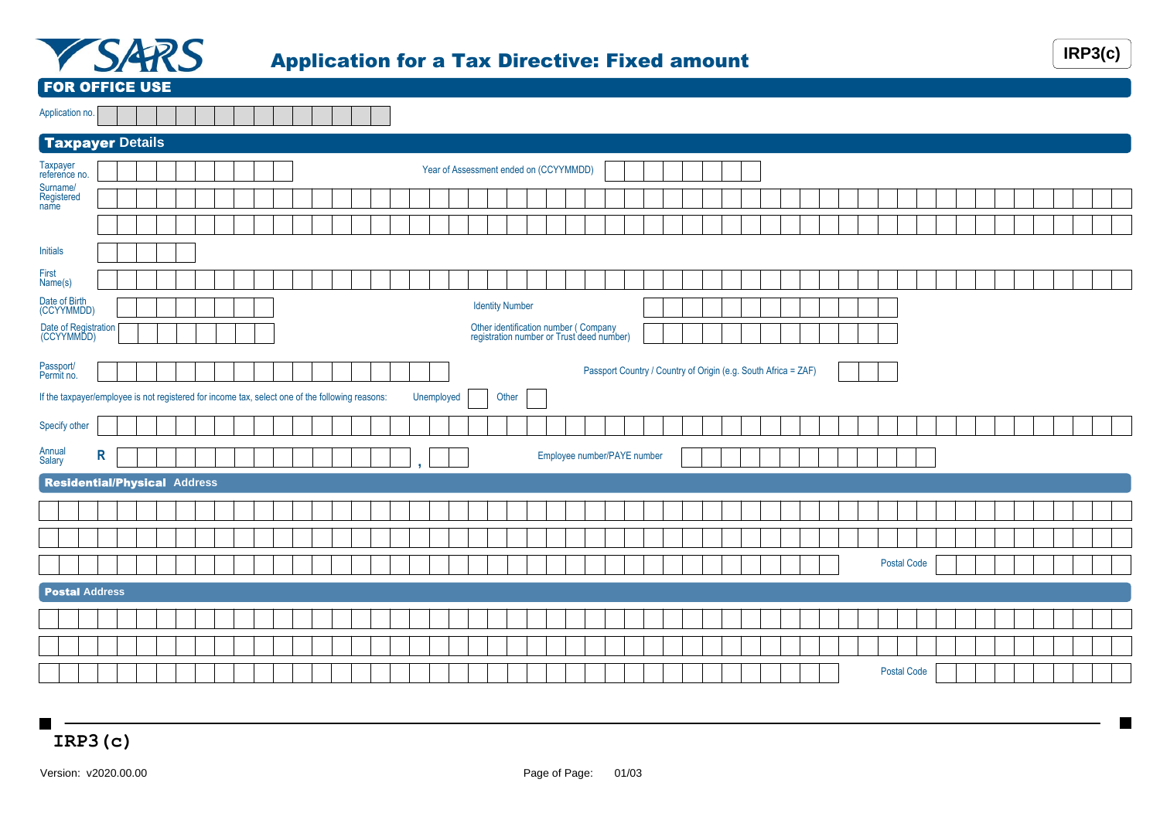

## Application for a Tax Directive: Fixed amount **IRP3(c)**



FOR OFFICE USE

| Application no. |  |  |  |  |  |  |  |  |
|-----------------|--|--|--|--|--|--|--|--|

| Taxpayer Details                                                                                |   |  |  |  |  |  |  |  |            |  |                                                                                   |  |                             |  |  |                                                                |  |  |  |  |                    |  |  |  |  |  |
|-------------------------------------------------------------------------------------------------|---|--|--|--|--|--|--|--|------------|--|-----------------------------------------------------------------------------------|--|-----------------------------|--|--|----------------------------------------------------------------|--|--|--|--|--------------------|--|--|--|--|--|
| Taxpayer<br>reference no.                                                                       |   |  |  |  |  |  |  |  |            |  | Year of Assessment ended on (CCYYMMDD)                                            |  |                             |  |  |                                                                |  |  |  |  |                    |  |  |  |  |  |
| Surname/<br>Registered<br>name                                                                  |   |  |  |  |  |  |  |  |            |  |                                                                                   |  |                             |  |  |                                                                |  |  |  |  |                    |  |  |  |  |  |
|                                                                                                 |   |  |  |  |  |  |  |  |            |  |                                                                                   |  |                             |  |  |                                                                |  |  |  |  |                    |  |  |  |  |  |
| <b>Initials</b>                                                                                 |   |  |  |  |  |  |  |  |            |  |                                                                                   |  |                             |  |  |                                                                |  |  |  |  |                    |  |  |  |  |  |
| First<br>Name(s)                                                                                |   |  |  |  |  |  |  |  |            |  |                                                                                   |  |                             |  |  |                                                                |  |  |  |  |                    |  |  |  |  |  |
| Date of Birth<br>(CCYYMMDD)                                                                     |   |  |  |  |  |  |  |  |            |  | <b>Identity Number</b>                                                            |  |                             |  |  |                                                                |  |  |  |  |                    |  |  |  |  |  |
| Date of Registration<br>(CCYYMMDD)                                                              |   |  |  |  |  |  |  |  |            |  | Other identification number (Company<br>registration number or Trust deed number) |  |                             |  |  |                                                                |  |  |  |  |                    |  |  |  |  |  |
| Passport/<br>Permit no.                                                                         |   |  |  |  |  |  |  |  |            |  |                                                                                   |  |                             |  |  | Passport Country / Country of Origin (e.g. South Africa = ZAF) |  |  |  |  |                    |  |  |  |  |  |
| If the taxpayer/employee is not registered for income tax, select one of the following reasons: |   |  |  |  |  |  |  |  | Unemployed |  | Other                                                                             |  |                             |  |  |                                                                |  |  |  |  |                    |  |  |  |  |  |
| Specify other                                                                                   |   |  |  |  |  |  |  |  |            |  |                                                                                   |  |                             |  |  |                                                                |  |  |  |  |                    |  |  |  |  |  |
| Annual<br>Salary                                                                                | R |  |  |  |  |  |  |  |            |  |                                                                                   |  | Employee number/PAYE number |  |  |                                                                |  |  |  |  |                    |  |  |  |  |  |
| <b>Residential/Physical Address</b>                                                             |   |  |  |  |  |  |  |  |            |  |                                                                                   |  |                             |  |  |                                                                |  |  |  |  |                    |  |  |  |  |  |
|                                                                                                 |   |  |  |  |  |  |  |  |            |  |                                                                                   |  |                             |  |  |                                                                |  |  |  |  |                    |  |  |  |  |  |
|                                                                                                 |   |  |  |  |  |  |  |  |            |  |                                                                                   |  |                             |  |  |                                                                |  |  |  |  |                    |  |  |  |  |  |
|                                                                                                 |   |  |  |  |  |  |  |  |            |  |                                                                                   |  |                             |  |  |                                                                |  |  |  |  | <b>Postal Code</b> |  |  |  |  |  |
| <b>Postal Address</b>                                                                           |   |  |  |  |  |  |  |  |            |  |                                                                                   |  |                             |  |  |                                                                |  |  |  |  |                    |  |  |  |  |  |
|                                                                                                 |   |  |  |  |  |  |  |  |            |  |                                                                                   |  |                             |  |  |                                                                |  |  |  |  |                    |  |  |  |  |  |
|                                                                                                 |   |  |  |  |  |  |  |  |            |  |                                                                                   |  |                             |  |  |                                                                |  |  |  |  |                    |  |  |  |  |  |
|                                                                                                 |   |  |  |  |  |  |  |  |            |  |                                                                                   |  |                             |  |  |                                                                |  |  |  |  | <b>Postal Code</b> |  |  |  |  |  |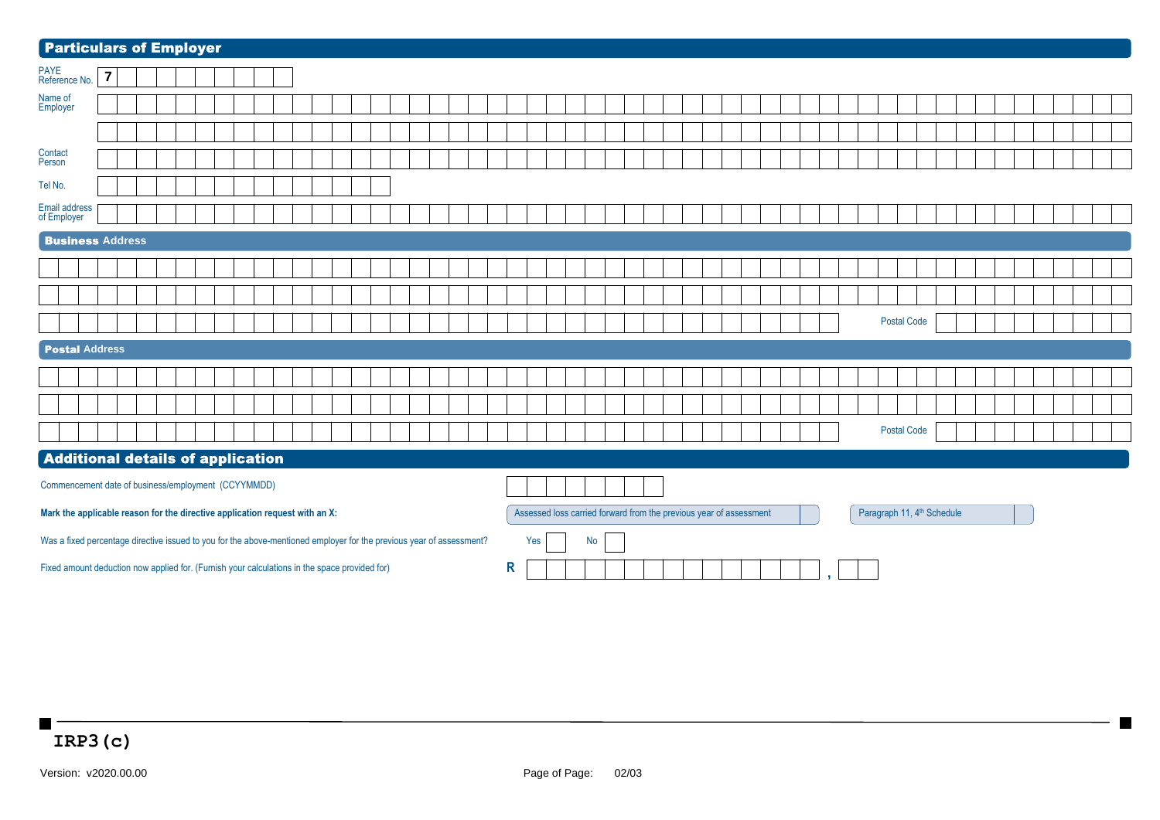| <b>Particulars of Employer</b>                                                                                       |                |  |  |  |  |  |  |  |  |  |   |     |  |           |  |  |                                                                    |  |  |  |  |                                        |  |  |  |  |  |
|----------------------------------------------------------------------------------------------------------------------|----------------|--|--|--|--|--|--|--|--|--|---|-----|--|-----------|--|--|--------------------------------------------------------------------|--|--|--|--|----------------------------------------|--|--|--|--|--|
| PAYE<br>Reference No.                                                                                                | $\overline{7}$ |  |  |  |  |  |  |  |  |  |   |     |  |           |  |  |                                                                    |  |  |  |  |                                        |  |  |  |  |  |
| Name of<br>Employer                                                                                                  |                |  |  |  |  |  |  |  |  |  |   |     |  |           |  |  |                                                                    |  |  |  |  |                                        |  |  |  |  |  |
|                                                                                                                      |                |  |  |  |  |  |  |  |  |  |   |     |  |           |  |  |                                                                    |  |  |  |  |                                        |  |  |  |  |  |
| Contact<br>Person                                                                                                    |                |  |  |  |  |  |  |  |  |  |   |     |  |           |  |  |                                                                    |  |  |  |  |                                        |  |  |  |  |  |
| Tel No.                                                                                                              |                |  |  |  |  |  |  |  |  |  |   |     |  |           |  |  |                                                                    |  |  |  |  |                                        |  |  |  |  |  |
| <b>Email address</b><br>of Employer                                                                                  |                |  |  |  |  |  |  |  |  |  |   |     |  |           |  |  |                                                                    |  |  |  |  |                                        |  |  |  |  |  |
| <b>Business Address</b>                                                                                              |                |  |  |  |  |  |  |  |  |  |   |     |  |           |  |  |                                                                    |  |  |  |  |                                        |  |  |  |  |  |
|                                                                                                                      |                |  |  |  |  |  |  |  |  |  |   |     |  |           |  |  |                                                                    |  |  |  |  |                                        |  |  |  |  |  |
|                                                                                                                      |                |  |  |  |  |  |  |  |  |  |   |     |  |           |  |  |                                                                    |  |  |  |  |                                        |  |  |  |  |  |
|                                                                                                                      |                |  |  |  |  |  |  |  |  |  |   |     |  |           |  |  |                                                                    |  |  |  |  | <b>Postal Code</b>                     |  |  |  |  |  |
| <b>Postal Address</b>                                                                                                |                |  |  |  |  |  |  |  |  |  |   |     |  |           |  |  |                                                                    |  |  |  |  |                                        |  |  |  |  |  |
|                                                                                                                      |                |  |  |  |  |  |  |  |  |  |   |     |  |           |  |  |                                                                    |  |  |  |  |                                        |  |  |  |  |  |
|                                                                                                                      |                |  |  |  |  |  |  |  |  |  |   |     |  |           |  |  |                                                                    |  |  |  |  |                                        |  |  |  |  |  |
|                                                                                                                      |                |  |  |  |  |  |  |  |  |  |   |     |  |           |  |  |                                                                    |  |  |  |  | <b>Postal Code</b>                     |  |  |  |  |  |
| <b>Additional details of application</b>                                                                             |                |  |  |  |  |  |  |  |  |  |   |     |  |           |  |  |                                                                    |  |  |  |  |                                        |  |  |  |  |  |
| Commencement date of business/employment (CCYYMMDD)                                                                  |                |  |  |  |  |  |  |  |  |  |   |     |  |           |  |  |                                                                    |  |  |  |  |                                        |  |  |  |  |  |
| Mark the applicable reason for the directive application request with an X:                                          |                |  |  |  |  |  |  |  |  |  |   |     |  |           |  |  | Assessed loss carried forward from the previous year of assessment |  |  |  |  | Paragraph 11, 4 <sup>th</sup> Schedule |  |  |  |  |  |
| Was a fixed percentage directive issued to you for the above-mentioned employer for the previous year of assessment? |                |  |  |  |  |  |  |  |  |  |   | Yes |  | <b>No</b> |  |  |                                                                    |  |  |  |  |                                        |  |  |  |  |  |
| Fixed amount deduction now applied for. (Furnish your calculations in the space provided for)                        |                |  |  |  |  |  |  |  |  |  | R |     |  |           |  |  |                                                                    |  |  |  |  |                                        |  |  |  |  |  |

**Take**